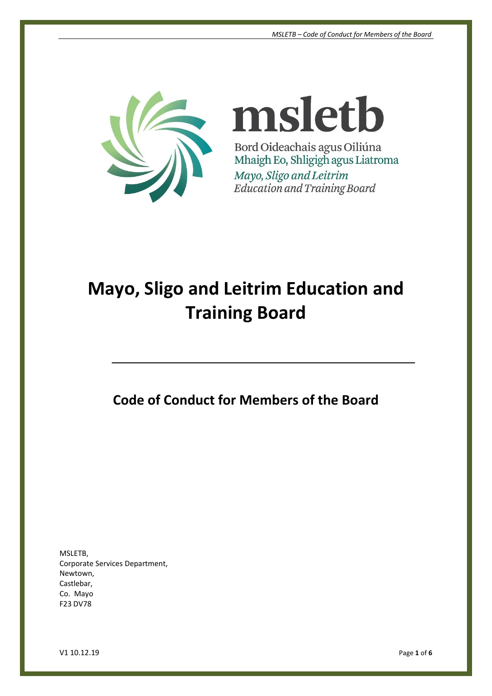

msletb Bord Oideachais agus Oiliúna Mhaigh Eo, Shligigh agus Liatroma Mayo, Sligo and Leitrim Education and Training Board

# **Mayo, Sligo and Leitrim Education and Training Board**

**Code of Conduct for Members of the Board**

MSLETB, Corporate Services Department, Newtown, Castlebar, Co. Mayo F23 DV78

V1 10.12.19 Page **1** of **6**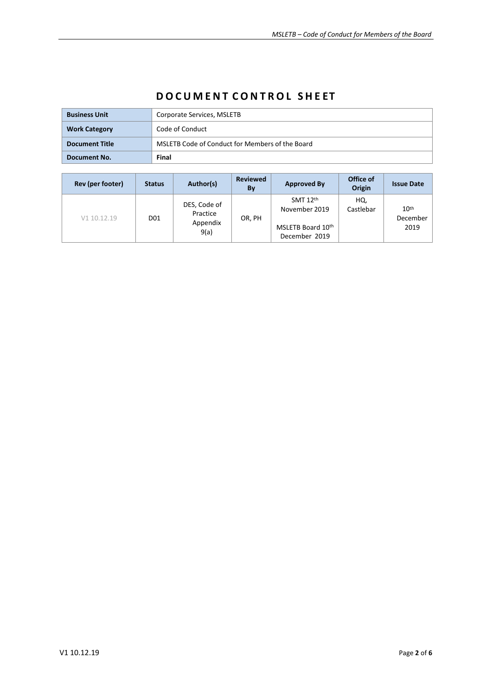| <b>Business Unit</b>  | Corporate Services, MSLETB                      |  |  |
|-----------------------|-------------------------------------------------|--|--|
| <b>Work Category</b>  | Code of Conduct                                 |  |  |
| <b>Document Title</b> | MSLETB Code of Conduct for Members of the Board |  |  |
| Document No.          | Final                                           |  |  |

# **D O C U M E N T C O N T R O L S H E ET**

| Rev (per footer) | <b>Status</b>   | Author(s)                                    | <b>Reviewed</b><br>By | <b>Approved By</b>                 | Office of<br>Origin | <b>Issue Date</b>            |
|------------------|-----------------|----------------------------------------------|-----------------------|------------------------------------|---------------------|------------------------------|
| V1 10.12.19      | D <sub>01</sub> | DES, Code of<br>Practice<br>Appendix<br>9(a) | OR, PH                | SMT $12th$<br>November 2019        | HQ,<br>Castlebar    | 10 <sup>th</sup><br>December |
|                  |                 |                                              |                       | MSLETB Board 10th<br>December 2019 |                     | 2019                         |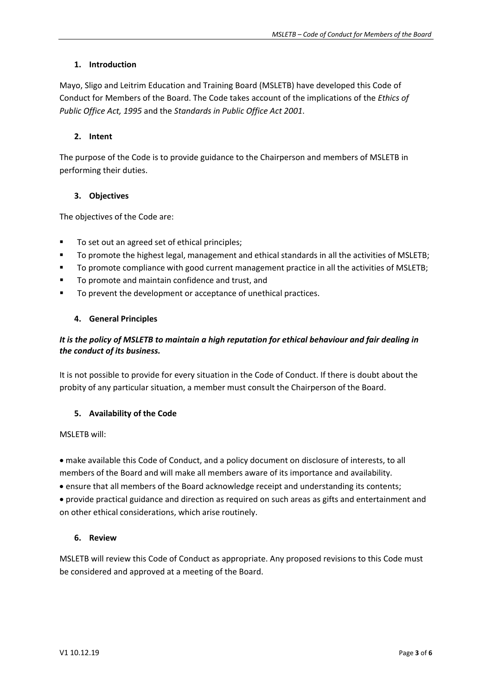### **1. Introduction**

Mayo, Sligo and Leitrim Education and Training Board (MSLETB) have developed this Code of Conduct for Members of the Board. The Code takes account of the implications of the *Ethics of Public Office Act, 1995* and the *Standards in Public Office Act 2001*.

### **2. Intent**

The purpose of the Code is to provide guidance to the Chairperson and members of MSLETB in performing their duties.

### **3. Objectives**

The objectives of the Code are:

- To set out an agreed set of ethical principles;
- To promote the highest legal, management and ethical standards in all the activities of MSLETB;
- To promote compliance with good current management practice in all the activities of MSLETB;
- To promote and maintain confidence and trust, and
- To prevent the development or acceptance of unethical practices.

#### **4. General Principles**

## *It is the policy of MSLETB to maintain a high reputation for ethical behaviour and fair dealing in the conduct of its business.*

It is not possible to provide for every situation in the Code of Conduct. If there is doubt about the probity of any particular situation, a member must consult the Chairperson of the Board.

#### **5. Availability of the Code**

MSLETB will:

• make available this Code of Conduct, and a policy document on disclosure of interests, to all members of the Board and will make all members aware of its importance and availability.

• ensure that all members of the Board acknowledge receipt and understanding its contents;

• provide practical guidance and direction as required on such areas as gifts and entertainment and on other ethical considerations, which arise routinely.

#### **6. Review**

MSLETB will review this Code of Conduct as appropriate. Any proposed revisions to this Code must be considered and approved at a meeting of the Board.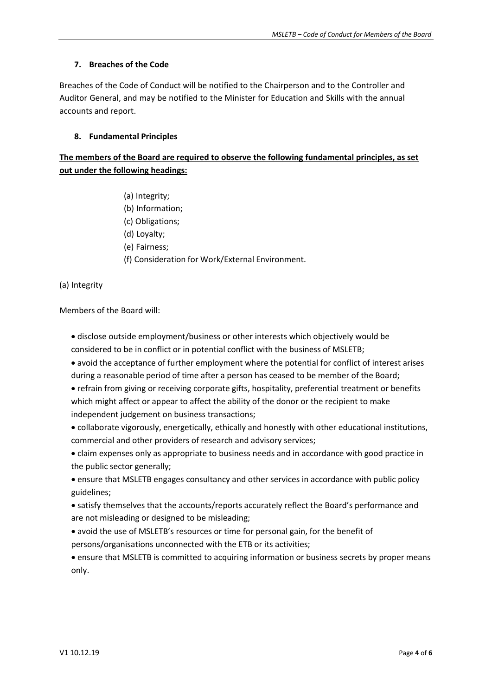#### **7. Breaches of the Code**

Breaches of the Code of Conduct will be notified to the Chairperson and to the Controller and Auditor General, and may be notified to the Minister for Education and Skills with the annual accounts and report.

#### **8. Fundamental Principles**

# **The members of the Board are required to observe the following fundamental principles, as set out under the following headings:**

(a) Integrity; (b) Information; (c) Obligations; (d) Loyalty; (e) Fairness; (f) Consideration for Work/External Environment.

#### (a) Integrity

Members of the Board will:

- disclose outside employment/business or other interests which objectively would be considered to be in conflict or in potential conflict with the business of MSLETB;
- avoid the acceptance of further employment where the potential for conflict of interest arises during a reasonable period of time after a person has ceased to be member of the Board;
- refrain from giving or receiving corporate gifts, hospitality, preferential treatment or benefits which might affect or appear to affect the ability of the donor or the recipient to make independent judgement on business transactions;
- collaborate vigorously, energetically, ethically and honestly with other educational institutions, commercial and other providers of research and advisory services;
- claim expenses only as appropriate to business needs and in accordance with good practice in the public sector generally;
- ensure that MSLETB engages consultancy and other services in accordance with public policy guidelines;
- satisfy themselves that the accounts/reports accurately reflect the Board's performance and are not misleading or designed to be misleading;
- avoid the use of MSLETB's resources or time for personal gain, for the benefit of persons/organisations unconnected with the ETB or its activities;
- ensure that MSLETB is committed to acquiring information or business secrets by proper means only.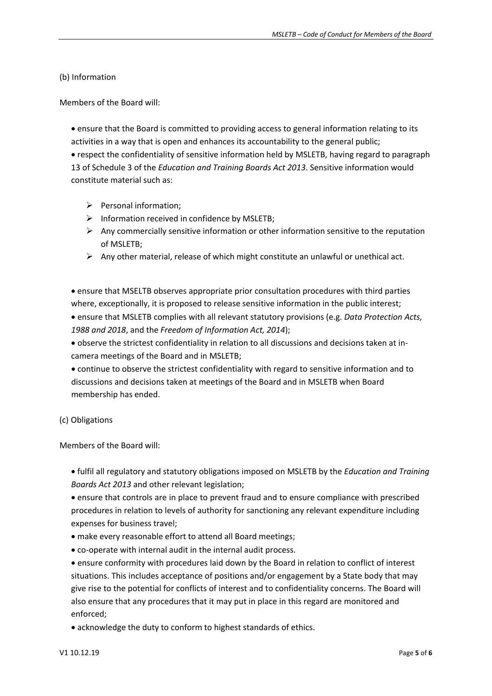#### (b) Information

Members of the Board will:

• ensure that the Board is committed to providing access to general information relating to its activities in a way that is open and enhances its accountability to the general public;

• respect the confidentiality of sensitive information held by MSLETB, having regard to paragraph 13 of Schedule 3 of the *Education and Training Boards Act 2013*. Sensitive information would constitute material such as:

- $\triangleright$  Personal information;
- $\triangleright$  Information received in confidence by MSLETB;
- $\triangleright$  Any commercially sensitive information or other information sensitive to the reputation of MSLETB;
- $\triangleright$  Any other material, release of which might constitute an unlawful or unethical act.

• ensure that MSELTB observes appropriate prior consultation procedures with third parties where, exceptionally, it is proposed to release sensitive information in the public interest;

• ensure that MSLETB complies with all relevant statutory provisions (e.g. *Data Protection Acts, 1988 and 2018*, and the *Freedom of Information Act, 2014*);

• observe the strictest confidentiality in relation to all discussions and decisions taken at incamera meetings of the Board and in MSLETB;

• continue to observe the strictest confidentiality with regard to sensitive information and to discussions and decisions taken at meetings of the Board and in MSLETB when Board membership has ended.

#### (c) Obligations

Members of the Board will:

• fulfil all regulatory and statutory obligations imposed on MSLETB by the *Education and Training Boards Act 2013* and other relevant legislation;

• ensure that controls are in place to prevent fraud and to ensure compliance with prescribed procedures in relation to levels of authority for sanctioning any relevant expenditure including expenses for business travel;

- make every reasonable effort to attend all Board meetings;
- co-operate with internal audit in the internal audit process.

• ensure conformity with procedures laid down by the Board in relation to conflict of interest situations. This includes acceptance of positions and/or engagement by a State body that may give rise to the potential for conflicts of interest and to confidentiality concerns. The Board will also ensure that any procedures that it may put in place in this regard are monitored and enforced;

• acknowledge the duty to conform to highest standards of ethics.